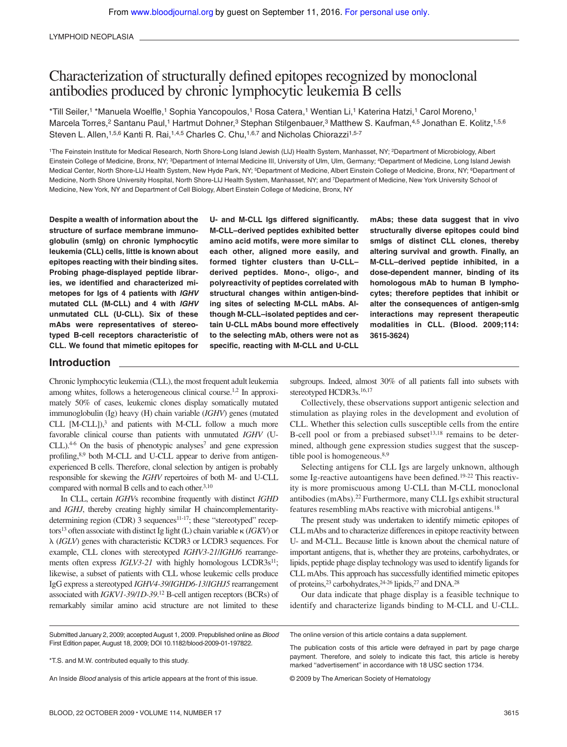LYMPHOID NEOPLASIA

# Characterization of structurally defined epitopes recognized by monoclonal antibodies produced by chronic lymphocytic leukemia B cells

\*Till Seiler,<sup>1</sup> \*Manuela Woelfle,<sup>1</sup> Sophia Yancopoulos,<sup>1</sup> Rosa Catera,<sup>1</sup> Wentian Li,<sup>1</sup> Katerina Hatzi,<sup>1</sup> Carol Moreno,<sup>1</sup> Marcela Torres,<sup>2</sup> Santanu Paul,<sup>1</sup> Hartmut Dohner,<sup>3</sup> Stephan Stilgenbauer,<sup>3</sup> Matthew S. Kaufman,<sup>4,5</sup> Jonathan E. Kolitz,<sup>1,5,6</sup> Steven L. Allen,<sup>1,5,6</sup> Kanti R. Rai,<sup>1,4,5</sup> Charles C. Chu,<sup>1,6,7</sup> and Nicholas Chiorazzi<sup>1,5-7</sup>

<sup>1</sup>The Feinstein Institute for Medical Research, North Shore-Long Island Jewish (LIJ) Health System, Manhasset, NY; <sup>2</sup>Department of Microbiology, Albert Einstein College of Medicine, Bronx, NY; <sup>3</sup>Department of Internal Medicine III, University of Ulm, Ulm, Germany; <sup>4</sup>Department of Medicine, Long Island Jewish Medical Center, North Shore-LIJ Health System, New Hyde Park, NY; <sup>5</sup>Department of Medicine, Albert Einstein College of Medicine, Bronx, NY; <sup>6</sup>Department of Medicine, North Shore University Hospital, North Shore-LIJ Health System, Manhasset, NY; and <sup>7</sup>Department of Medicine, New York University School of Medicine, New York, NY and Department of Cell Biology, Albert Einstein College of Medicine, Bronx, NY

**Despite a wealth of information about the structure of surface membrane immunoglobulin (smIg) on chronic lymphocytic leukemia (CLL) cells, little is known about epitopes reacting with their binding sites. Probing phage-displayed peptide libraries, we identified and characterized mimetopes for Igs of 4 patients with IGHV mutated CLL (M-CLL) and 4 with IGHV unmutated CLL (U-CLL). Six of these mAbs were representatives of stereotyped B-cell receptors characteristic of CLL. We found that mimetic epitopes for**

**U- and M-CLL Igs differed significantly. M-CLL–derived peptides exhibited better amino acid motifs, were more similar to each other, aligned more easily, and formed tighter clusters than U-CLL– derived peptides. Mono-, oligo-, and polyreactivity of peptides correlated with structural changes within antigen-binding sites of selecting M-CLL mAbs. Although M-CLL–isolated peptides and certain U-CLL mAbs bound more effectively to the selecting mAb, others were not as specific, reacting with M-CLL and U-CLL** **mAbs; these data suggest that in vivo structurally diverse epitopes could bind smIgs of distinct CLL clones, thereby altering survival and growth. Finally, an M-CLL–derived peptide inhibited, in a dose-dependent manner, binding of its homologous mAb to human B lymphocytes; therefore peptides that inhibit or alter the consequences of antigen-smIg interactions may represent therapeutic modalities in CLL. (Blood. 2009;114: 3615-3624)**

## **Introduction**

Chronic lymphocytic leukemia (CLL), the most frequent adult leukemia among whites, follows a heterogeneous clinical course.1,2 In approximately 50% of cases, leukemic clones display somatically mutated immunoglobulin (Ig) heavy (H) chain variable (*IGHV*) genes (mutated CLL  $[M-CLL]$ ,<sup>3</sup> and patients with M-CLL follow a much more favorable clinical course than patients with unmutated *IGHV* (U- $CLL$ ).<sup>4-6</sup> On the basis of phenotypic analyses<sup>7</sup> and gene expression profiling,8,9 both M-CLL and U-CLL appear to derive from antigenexperienced B cells. Therefore, clonal selection by antigen is probably responsible for skewing the *IGHV* repertoires of both M- and U-CLL compared with normal B cells and to each other.<sup>3,10</sup>

In CLL, certain *IGHV*s recombine frequently with distinct *IGHD* and *IGHJ*, thereby creating highly similar H chaincomplementaritydetermining region (CDR) 3 sequences<sup>11-17</sup>; these "stereotyped" receptors<sup>13</sup> often associate with distinct Ig light (L) chain variable (*IGKV*) or  $\lambda$  (*IGLV*) genes with characteristic KCDR3 or LCDR3 sequences. For example, CLL clones with stereotyped *IGHV3-21*/*IGHJ6* rearrangements often express *IGLV3-21* with highly homologous LCDR3s<sup>11</sup>; likewise, a subset of patients with CLL whose leukemic cells produce IgG express a stereotyped *IGHV4-39*/*IGHD6-13*/*IGHJ5* rearrangement associated with *IGKV1-39/1D-39*. <sup>12</sup> B-cell antigen receptors (BCRs) of remarkably similar amino acid structure are not limited to these subgroups. Indeed, almost 30% of all patients fall into subsets with stereotyped HCDR3s.<sup>16,17</sup>

Collectively, these observations support antigenic selection and stimulation as playing roles in the development and evolution of CLL. Whether this selection culls susceptible cells from the entire B-cell pool or from a prebiased subset<sup>13,18</sup> remains to be determined, although gene expression studies suggest that the susceptible pool is homogeneous.<sup>8,9</sup>

Selecting antigens for CLL Igs are largely unknown, although some Ig-reactive autoantigens have been defined.<sup>19-22</sup> This reactivity is more promiscuous among U-CLL than M-CLL monoclonal antibodies (mAbs).<sup>22</sup> Furthermore, many CLL Igs exhibit structural features resembling mAbs reactive with microbial antigens.<sup>18</sup>

The present study was undertaken to identify mimetic epitopes of CLL mAbs and to characterize differences in epitope reactivity between U- and M-CLL. Because little is known about the chemical nature of important antigens, that is, whether they are proteins, carbohydrates, or lipids, peptide phage display technology was used to identify ligands for CLL mAbs. This approach has successfully identified mimetic epitopes of proteins,<sup>23</sup> carbohydrates,<sup>24-26</sup> lipids,<sup>27</sup> and DNA.<sup>28</sup>

Our data indicate that phage display is a feasible technique to identify and characterize ligands binding to M-CLL and U-CLL.

| Submitted January 2, 2009; accepted August 1, 2009. Prepublished online as <i>Blood</i> | The online version of this article contains a data supplement.                                                                                 |
|-----------------------------------------------------------------------------------------|------------------------------------------------------------------------------------------------------------------------------------------------|
| First Edition paper, August 18, 2009; DOI 10.1182/blood-2009-01-197822.                 | The publication costs of this article were defrayed in part by page charge                                                                     |
| *T.S. and M.W. contributed equally to this study.                                       | payment. Therefore, and solely to indicate this fact, this article is hereby<br>marked "advertisement" in accordance with 18 USC section 1734. |
| An Inside <i>Blood</i> analysis of this article appears at the front of this issue.     | © 2009 by The American Society of Hematology                                                                                                   |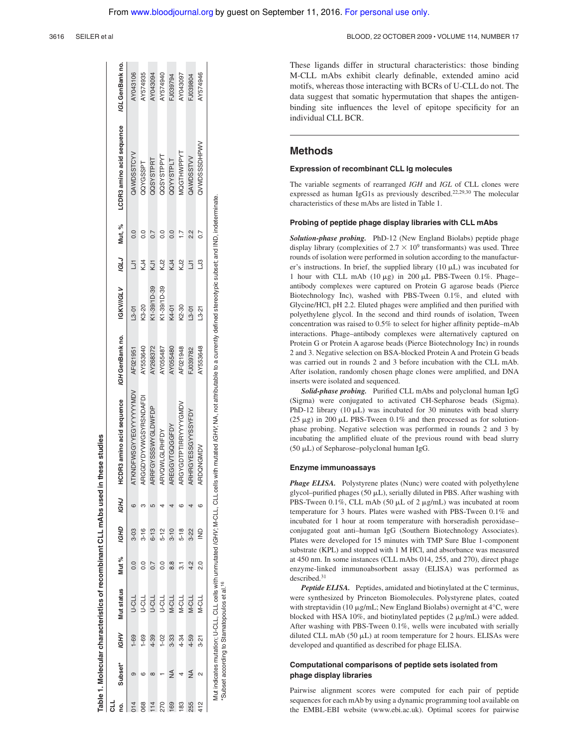| 0.  | Subset*       | <b>IGHV</b> | Mut status   | Mut %          | <b>IGHD</b>   | <b>IGHJ</b> | HCDR3 amino acid sequence | IGH GenBank no. | <b>IGKV/IGLV</b> |         | /GLJ Mut, % | LCDR3 amino acid sequence | /GL GenBank no. |
|-----|---------------|-------------|--------------|----------------|---------------|-------------|---------------------------|-----------------|------------------|---------|-------------|---------------------------|-----------------|
|     |               | $1 - 69$    | <b>TIC-N</b> |                | 3-03          |             | TKNDFWSGYYEGYYYYYYMDV     | AF021951        | $L3 - 01$        |         |             | QAWDSSTCYV                | AY043106        |
| 068 | CO            | $1 - 69$    | TIC-N        | $\overline{0}$ | $3 - 16$      |             | ARGGDYDYVWGSYRSNDAFDI     | AY553640        | K3-20            | KJ4     |             | QQYGSSPT                  | AY574935        |
|     | $\infty$      | $4 - 39$    | TC-C         |                | $6 - 13$      |             | RRFGYSSSWYGLDWFDP         | AY268372        | K1-39/1D-39      |         |             | QQSYSTPRT                 | AY043094        |
| 270 |               | $1 - 02$    | n-cr         |                | $5-12$        |             | ARVQWLGLRHFDY             | AY055487        | K1-39/1D-39      | SS<br>N |             | QQSYSTPPYT                | AY574940        |
| 69  | $\frac{4}{2}$ | 3-33        | <b>N-CLL</b> | $\frac{8}{8}$  | $3 - 10$      |             | <b>REGGVTGQGGFDY</b>      | AY055480        | K4-01            | KJ4     |             | <b>QQYYSTPLT</b>          | FJ039794        |
| 83  |               | 4-34        | N-CLL        |                | $5 - 18$      |             | RGYGDTPTIRRYYYYGMDV       | AF021948        | K2-30            | KJ2     |             | MQGTHWPPYT                | AY043097        |
| 255 | $\frac{4}{2}$ | 4-59        | N-CLL        | 4.2            | $3 - 22$      |             | RHRGYESSGYYSSYFDY         | FJ039782        | $L3 - 01$        | 5       | 2)<br>21    | QAWDSSTVV                 | FJ039804        |
| 412 | $\sim$        | $3 - 21$    | N-CLL        | o.             | $\frac{1}{2}$ |             | RDQNGMDV<br>⋖             | AY553648        | $L3 - 21$        | 3<br>C  | h7          | QVWDSSSDHPWV              | AY574946        |

Mut indicates mutation; U-CLL, CLL cells with unmutated IGHV; M-CLL, CLL cells with mutated IGHV; NA, not attributable to a currently defined stereotypic subset; and IND, indeterminate. Subset according to Stamatopoulos et al.<sup>16</sup> \*Subset according to Stamatopoulos et al.16 These ligands differ in structural characteristics: those binding M-CLL mAbs exhibit clearly definable, extended amino acid motifs, whereas those interacting with BCRs of U-CLL do not. The data suggest that somatic hypermutation that shapes the antigen-

binding site influences the level of epitope specificity for an

## **Methods**

individual CLL BCR.

### **Expression of recombinant CLL Ig molecules**

The variable segments of rearranged *IGH* and *IGL* of CLL clones were expressed as human IgG1s as previously described.22,29,30 The molecular characteristics of these mAbs are listed in Table 1.

#### **Probing of peptide phage display libraries with CLL mAbs**

*Solution-phase probing.* PhD-12 (New England Biolabs) peptide phage display library (complexities of  $2.7 \times 10^9$  transformants) was used. Three rounds of isolation were performed in solution according to the manufacturer's instructions. In brief, the supplied library  $(10 \mu L)$  was incubated for 1 hour with CLL mAb  $(10 \mu g)$  in 200  $\mu$ L PBS-Tween 0.1%. Phageantibody complexes were captured on Protein G agarose beads (Pierce Biotechnology Inc), washed with PBS-Tween 0.1%, and eluted with Glycine/HCl, pH 2.2. Eluted phages were amplified and then purified with polyethylene glycol. In the second and third rounds of isolation, Tween concentration was raised to 0.5% to select for higher affinity peptide–mAb interactions. Phage–antibody complexes were alternatively captured on Protein G or Protein A agarose beads (Pierce Biotechnology Inc) in rounds 2 and 3. Negative selection on BSA-blocked Protein A and Protein G beads was carried out in rounds 2 and 3 before incubation with the CLL mAb. After isolation, randomly chosen phage clones were amplified, and DNA inserts were isolated and sequenced.

*Solid-phase probing.* Purified CLL mAbs and polyclonal human IgG (Sigma) were conjugated to activated CH-Sepharose beads (Sigma). PhD-12 library  $(10 \mu L)$  was incubated for 30 minutes with bead slurry (25  $\mu$ g) in 200  $\mu$ L PBS-Tween 0.1% and then processed as for solutionphase probing. Negative selection was performed in rounds 2 and 3 by incubating the amplified eluate of the previous round with bead slurry (50  $\mu$ L) of Sepharose–polyclonal human IgG.

#### **Enzyme immunoassays**

*Phage ELISA.* Polystyrene plates (Nunc) were coated with polyethylene glycol–purified phages (50  $\mu$ L), serially diluted in PBS. After washing with PBS-Tween 0.1%, CLL mAb (50  $\mu$ L of 2  $\mu$ g/mL) was incubated at room temperature for 3 hours. Plates were washed with PBS-Tween 0.1% and incubated for 1 hour at room temperature with horseradish peroxidase– conjugated goat anti–human IgG (Southern Biotechnology Associates). Plates were developed for 15 minutes with TMP Sure Blue 1-component substrate (KPL) and stopped with 1 M HCl, and absorbance was measured at 450 nm. In some instances (CLL mAbs 014, 255, and 270), direct phage enzyme-linked immunoabsorbent assay (ELISA) was performed as described.<sup>31</sup>

*Peptide ELISA.* Peptides, amidated and biotinylated at the C terminus, were synthesized by Princeton Biomolecules. Polystyrene plates, coated with streptavidin (10  $\mu$ g/mL; New England Biolabs) overnight at 4°C, were blocked with HSA 10%, and biotinylated peptides  $(2 \mu g/mL)$  were added. After washing with PBS-Tween 0.1%, wells were incubated with serially diluted CLL mAb  $(50 \mu L)$  at room temperature for 2 hours. ELISAs were developed and quantified as described for phage ELISA.

## **Computational comparisons of peptide sets isolated from phage display libraries**

Pairwise alignment scores were computed for each pair of peptide sequences for each mAb by using a dynamic programming tool available on the EMBL-EBI website (www.ebi.ac.uk). Optimal scores for pairwise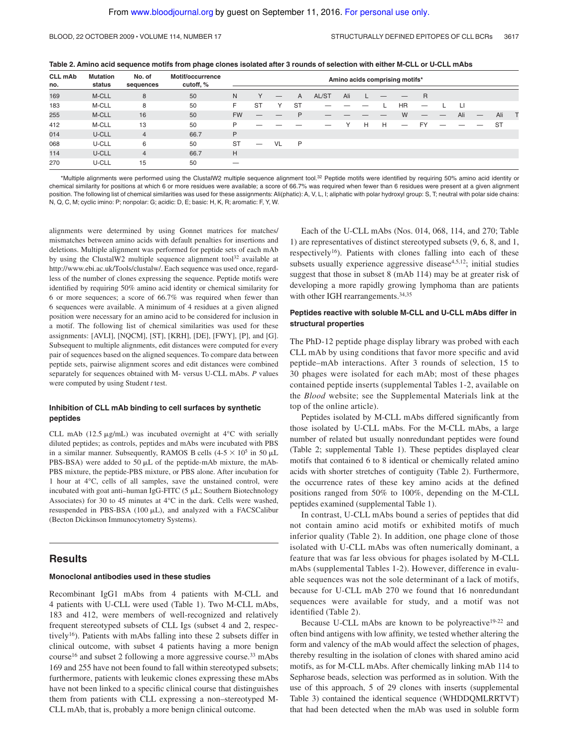**Table 2. Amino acid sequence motifs from phage clones isolated after 3 rounds of selection with either M-CLL or U-CLL mAbs**

| <b>CLL mAb</b><br>no. | <b>Mutation</b><br>status | No. of<br>sequences | Motif/occurrence<br>cutoff, % |           |           |    |           |       |              |   |   | Amino acids comprising motifs* |                               |                               |     |           |  |
|-----------------------|---------------------------|---------------------|-------------------------------|-----------|-----------|----|-----------|-------|--------------|---|---|--------------------------------|-------------------------------|-------------------------------|-----|-----------|--|
| 169                   | M-CLL                     | 8                   | 50                            | N         |           | –  | A         | AL/ST | Ali          |   |   |                                | $\overline{R}$                |                               |     |           |  |
| 183                   | M-CLL                     | 8                   | 50                            | F         | <b>ST</b> | Υ  | <b>ST</b> |       |              |   |   | <b>HR</b>                      |                               |                               | Ц   |           |  |
| 255                   | M-CLL                     | 16                  | 50                            | <b>FW</b> | –         |    | P         |       |              |   |   | W                              | $\overbrace{\phantom{12332}}$ | $\overbrace{\phantom{12332}}$ | Ali | Ali       |  |
| 412                   | M-CLL                     | 13                  | 50                            | P         |           |    |           | –     | $\checkmark$ | H | H |                                | <b>FY</b>                     |                               |     | <b>ST</b> |  |
| 014                   | U-CLL                     | $\overline{4}$      | 66.7                          | P         |           |    |           |       |              |   |   |                                |                               |                               |     |           |  |
| 068                   | U-CLL                     | 6                   | 50                            | <b>ST</b> |           | VL | P         |       |              |   |   |                                |                               |                               |     |           |  |
| 114                   | U-CLL                     | $\overline{4}$      | 66.7                          | H         |           |    |           |       |              |   |   |                                |                               |                               |     |           |  |
| 270                   | U-CLL                     | 15                  | 50                            |           |           |    |           |       |              |   |   |                                |                               |                               |     |           |  |

\*Multiple alignments were performed using the ClustalW2 multiple sequence alignment tool.<sup>32</sup> Peptide motifs were identified by requiring 50% amino acid identity or chemical similarity for positions at which 6 or more residues were available; a score of 66.7% was required when fewer than 6 residues were present at a given alignment position. The following list of chemical similarities was used for these assignments: Ali(phatic): A, V, L, I; aliphatic with polar hydroxyl group: S, T; neutral with polar side chains: N, Q, C, M; cyclic imino: P; nonpolar: G; acidic: D, E; basic: H, K, R; aromatic: F, Y, W.

alignments were determined by using Gonnet matrices for matches/ mismatches between amino acids with default penalties for insertions and deletions. Multiple alignment was performed for peptide sets of each mAb by using the ClustalW2 multiple sequence alignment tool<sup>32</sup> available at http://www.ebi.ac.uk/Tools/clustalw/. Each sequence was used once, regardless of the number of clones expressing the sequence. Peptide motifs were identified by requiring 50% amino acid identity or chemical similarity for 6 or more sequences; a score of 66.7% was required when fewer than 6 sequences were available. A minimum of 4 residues at a given aligned position were necessary for an amino acid to be considered for inclusion in a motif. The following list of chemical similarities was used for these assignments: [AVLI], [NQCM], [ST], [KRH], [DE], [FWY], [P], and [G]. Subsequent to multiple alignments, edit distances were computed for every pair of sequences based on the aligned sequences. To compare data between peptide sets, pairwise alignment scores and edit distances were combined separately for sequences obtained with M- versus U-CLL mAbs. *P* values were computed by using Student *t* test.

## **Inhibition of CLL mAb binding to cell surfaces by synthetic peptides**

CLL mAb (12.5  $\mu$ g/mL) was incubated overnight at 4°C with serially diluted peptides; as controls, peptides and mAbs were incubated with PBS in a similar manner. Subsequently, RAMOS B cells  $(4-5 \times 10^5 \text{ in } 50 \mu\text{L})$ PBS-BSA) were added to 50  $\mu$ L of the peptide-mAb mixture, the mAb-PBS mixture, the peptide-PBS mixture, or PBS alone. After incubation for 1 hour at 4°C, cells of all samples, save the unstained control, were incubated with goat anti-human IgG-FITC  $(5 \mu L;$  Southern Biotechnology Associates) for 30 to 45 minutes at 4°C in the dark. Cells were washed, resuspended in PBS-BSA (100  $\mu$ L), and analyzed with a FACSCalibur (Becton Dickinson Immunocytometry Systems).

## **Results**

#### **Monoclonal antibodies used in these studies**

Recombinant IgG1 mAbs from 4 patients with M-CLL and 4 patients with U-CLL were used (Table 1). Two M-CLL mAbs, 183 and 412, were members of well-recognized and relatively frequent stereotyped subsets of CLL Igs (subset 4 and 2, respectively<sup>16</sup>). Patients with mAbs falling into these 2 subsets differ in clinical outcome, with subset 4 patients having a more benign course<sup>16</sup> and subset 2 following a more aggressive course.<sup>33</sup> mAbs 169 and 255 have not been found to fall within stereotyped subsets; furthermore, patients with leukemic clones expressing these mAbs have not been linked to a specific clinical course that distinguishes them from patients with CLL expressing a non–stereotyped M-CLL mAb, that is, probably a more benign clinical outcome.

Each of the U-CLL mAbs (Nos. 014, 068, 114, and 270; Table 1) are representatives of distinct stereotyped subsets (9, 6, 8, and 1, respectively<sup>16</sup>). Patients with clones falling into each of these subsets usually experience aggressive disease $4,5,12$ ; initial studies suggest that those in subset 8 (mAb 114) may be at greater risk of developing a more rapidly growing lymphoma than are patients with other IGH rearrangements.<sup>34,35</sup>

## **Peptides reactive with soluble M-CLL and U-CLL mAbs differ in structural properties**

The PhD-12 peptide phage display library was probed with each CLL mAb by using conditions that favor more specific and avid peptide–mAb interactions. After 3 rounds of selection, 15 to 30 phages were isolated for each mAb; most of these phages contained peptide inserts (supplemental Tables 1-2, available on the *Blood* website; see the Supplemental Materials link at the top of the online article).

Peptides isolated by M-CLL mAbs differed significantly from those isolated by U-CLL mAbs. For the M-CLL mAbs, a large number of related but usually nonredundant peptides were found (Table 2; supplemental Table 1). These peptides displayed clear motifs that contained 6 to 8 identical or chemically related amino acids with shorter stretches of contiguity (Table 2). Furthermore, the occurrence rates of these key amino acids at the defined positions ranged from 50% to 100%, depending on the M-CLL peptides examined (supplemental Table 1).

In contrast, U-CLL mAbs bound a series of peptides that did not contain amino acid motifs or exhibited motifs of much inferior quality (Table 2). In addition, one phage clone of those isolated with U-CLL mAbs was often numerically dominant, a feature that was far less obvious for phages isolated by M-CLL mAbs (supplemental Tables 1-2). However, difference in evaluable sequences was not the sole determinant of a lack of motifs, because for U-CLL mAb 270 we found that 16 nonredundant sequences were available for study, and a motif was not identified (Table 2).

Because U-CLL mAbs are known to be polyreactive<sup>19-22</sup> and often bind antigens with low affinity, we tested whether altering the form and valency of the mAb would affect the selection of phages, thereby resulting in the isolation of clones with shared amino acid motifs, as for M-CLL mAbs. After chemically linking mAb 114 to Sepharose beads, selection was performed as in solution. With the use of this approach, 5 of 29 clones with inserts (supplemental Table 3) contained the identical sequence (WHDDQMLRRTVT) that had been detected when the mAb was used in soluble form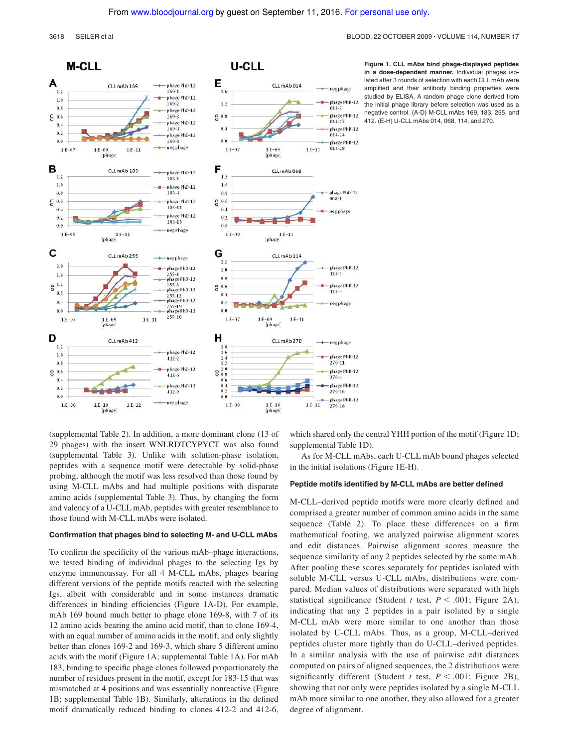#### 3618 SEILER et al BLOOD, 22 OCTOBER 2009 VOLUME 114, NUMBER 17



**Figure 1. CLL mAbs bind phage-displayed peptides in a dose-dependent manner.** Individual phages isolated after 3 rounds of selection with each CLL mAb were amplified and their antibody binding properties were studied by ELISA. A random phage clone derived from the initial phage library before selection was used as a negative control. (A-D) M-CLL mAbs 169, 183, 255, and 412. (E-H) U-CLL mAbs 014, 068, 114, and 270.

(supplemental Table 2). In addition, a more dominant clone (13 of 29 phages) with the insert WNLRDTCYPYCT was also found (supplemental Table 3). Unlike with solution-phase isolation, peptides with a sequence motif were detectable by solid-phase probing, although the motif was less resolved than those found by using M-CLL mAbs and had multiple positions with disparate amino acids (supplemental Table 3). Thus, by changing the form and valency of a U-CLL mAb, peptides with greater resemblance to those found with M-CLL mAbs were isolated.

#### **Confirmation that phages bind to selecting M- and U-CLL mAbs**

To confirm the specificity of the various mAb–phage interactions, we tested binding of individual phages to the selecting Igs by enzyme immunoassay. For all 4 M-CLL mAbs, phages bearing different versions of the peptide motifs reacted with the selecting Igs, albeit with considerable and in some instances dramatic differences in binding efficiencies (Figure 1A-D). For example, mAb 169 bound much better to phage clone 169-8, with 7 of its 12 amino acids bearing the amino acid motif, than to clone 169-4, with an equal number of amino acids in the motif, and only slightly better than clones 169-2 and 169-3, which share 5 different amino acids with the motif (Figure 1A; supplemental Table 1A). For mAb 183, binding to specific phage clones followed proportionately the number of residues present in the motif, except for 183-15 that was mismatched at 4 positions and was essentially nonreactive (Figure 1B; supplemental Table 1B). Similarly, alterations in the defined motif dramatically reduced binding to clones 412-2 and 412-6, which shared only the central YHH portion of the motif (Figure 1D; supplemental Table 1D).

As for M-CLL mAbs, each U-CLL mAb bound phages selected in the initial isolations (Figure 1E-H).

## **Peptide motifs identified by M-CLL mAbs are better defined**

M-CLL–derived peptide motifs were more clearly defined and comprised a greater number of common amino acids in the same sequence (Table 2). To place these differences on a firm mathematical footing, we analyzed pairwise alignment scores and edit distances. Pairwise alignment scores measure the sequence similarity of any 2 peptides selected by the same mAb. After pooling these scores separately for peptides isolated with soluble M-CLL versus U-CLL mAbs, distributions were compared. Median values of distributions were separated with high statistical significance (Student *t* test,  $P \le 0.001$ ; Figure 2A), indicating that any 2 peptides in a pair isolated by a single M-CLL mAb were more similar to one another than those isolated by U-CLL mAbs. Thus, as a group, M-CLL–derived peptides cluster more tightly than do U-CLL–derived peptides. In a similar analysis with the use of pairwise edit distances computed on pairs of aligned sequences, the 2 distributions were significantly different (Student *t* test,  $P < .001$ ; Figure 2B), showing that not only were peptides isolated by a single M-CLL mAb more similar to one another, they also allowed for a greater degree of alignment.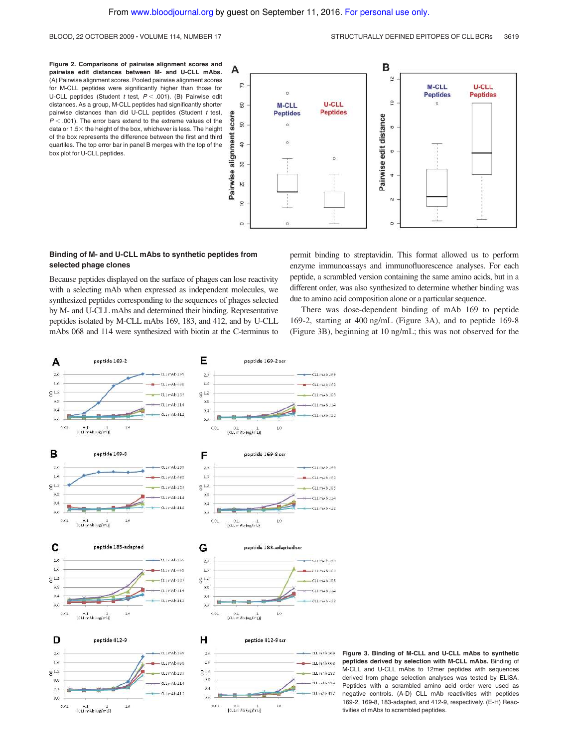**Figure 2. Comparisons of pairwise alignment scores and pairwise edit distances between M- and U-CLL mAbs.** (A) Pairwise alignment scores. Pooled pairwise alignment scores for M-CLL peptides were significantly higher than those for U-CLL peptides (Student  $t$  test,  $P < .001$ ). (B) Pairwise edit distances. As a group, M-CLL peptides had significantly shorter pairwise distances than did U-CLL peptides (Student  $t$  test,  $P < .001$ ). The error bars extend to the extreme values of the data or  $1.5\times$  the height of the box, whichever is less. The height of the box represents the difference between the first and third quartiles. The top error bar in panel B merges with the top of the box plot for U-CLL peptides.



## **Binding of M- and U-CLL mAbs to synthetic peptides from selected phage clones**

Because peptides displayed on the surface of phages can lose reactivity with a selecting mAb when expressed as independent molecules, we synthesized peptides corresponding to the sequences of phages selected by M- and U-CLL mAbs and determined their binding. Representative peptides isolated by M-CLL mAbs 169, 183, and 412, and by U-CLL mAbs 068 and 114 were synthesized with biotin at the C-terminus to permit binding to streptavidin. This format allowed us to perform enzyme immunoassays and immunofluorescence analyses. For each peptide, a scrambled version containing the same amino acids, but in a different order, was also synthesized to determine whether binding was due to amino acid composition alone or a particular sequence.

There was dose-dependent binding of mAb 169 to peptide 169-2, starting at 400 ng/mL (Figure 3A), and to peptide 169-8 (Figure 3B), beginning at 10 ng/mL; this was not observed for the



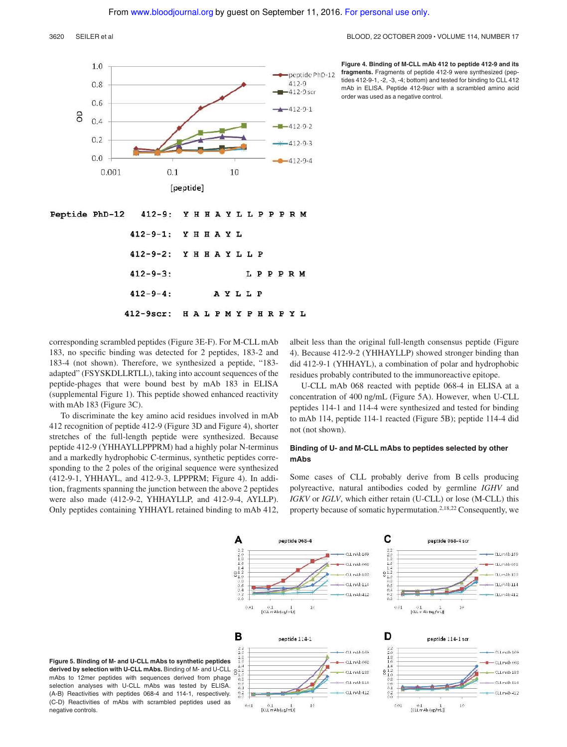#### 3620 SEILER et al BLOOD, 22 OCTOBER 2009 VOLUME 114, NUMBER 17



**Figure 4. Binding of M-CLL mAb 412 to peptide 412-9 and its fragments.** Fragments of peptide 412-9 were synthesized (peptides 412-9-1, -2, -3, -4; bottom) and tested for binding to CLL 412 mAb in ELISA. Peptide 412-9scr with a scrambled amino acid order was used as a negative control.

Peptide PhD-12 412-9: YHHAYLLPPPRM

| 412-9-1: YHHAYL        |  |  |  |           |        |  |  |
|------------------------|--|--|--|-----------|--------|--|--|
| 412-9-2: YHHAYLLP      |  |  |  |           |        |  |  |
| $412 - 9 - 3:$         |  |  |  |           | LPPPRM |  |  |
| $412 - 9 - 4:$         |  |  |  | A Y L L P |        |  |  |
| 412-9scr: HALPMYPHRPYI |  |  |  |           |        |  |  |

corresponding scrambled peptides (Figure 3E-F). For M-CLL mAb 183, no specific binding was detected for 2 peptides, 183-2 and 183-4 (not shown). Therefore, we synthesized a peptide, "183 adapted" (FSYSKDLLRTLL), taking into account sequences of the peptide-phages that were bound best by mAb 183 in ELISA (supplemental Figure 1). This peptide showed enhanced reactivity with mAb 183 (Figure 3C).

To discriminate the key amino acid residues involved in mAb 412 recognition of peptide 412-9 (Figure 3D and Figure 4), shorter stretches of the full-length peptide were synthesized. Because peptide 412-9 (YHHAYLLPPPRM) had a highly polar N-terminus and a markedly hydrophobic C-terminus, synthetic peptides corresponding to the 2 poles of the original sequence were synthesized (412-9-1, YHHAYL, and 412-9-3, LPPPRM; Figure 4). In addition, fragments spanning the junction between the above 2 peptides were also made (412-9-2, YHHAYLLP, and 412-9-4, AYLLP). Only peptides containing YHHAYL retained binding to mAb 412, albeit less than the original full-length consensus peptide (Figure 4). Because 412-9-2 (YHHAYLLP) showed stronger binding than did 412-9-1 (YHHAYL), a combination of polar and hydrophobic residues probably contributed to the immunoreactive epitope.

U-CLL mAb 068 reacted with peptide 068-4 in ELISA at a concentration of 400 ng/mL (Figure 5A). However, when U-CLL peptides 114-1 and 114-4 were synthesized and tested for binding to mAb 114, peptide 114-1 reacted (Figure 5B); peptide 114-4 did not (not shown).

## **Binding of U- and M-CLL mAbs to peptides selected by other mAbs**

Some cases of CLL probably derive from B cells producing polyreactive, natural antibodies coded by germline *IGHV* and *IGKV* or *IGLV*, which either retain (U-CLL) or lose (M-CLL) this property because of somatic hypermutation.2,18,22 Consequently, we



**Figure 5. Binding of M- and U-CLL mAbs to synthetic peptides derived by selection with U-CLL mAbs.** Binding of M- and U-CLL mAbs to 12mer peptides with sequences derived from phage selection analyses with U-CLL mAbs was tested by ELISA. (A-B) Reactivities with peptides 068-4 and 114-1, respectively. (C-D) Reactivities of mAbs with scrambled peptides used as negative controls.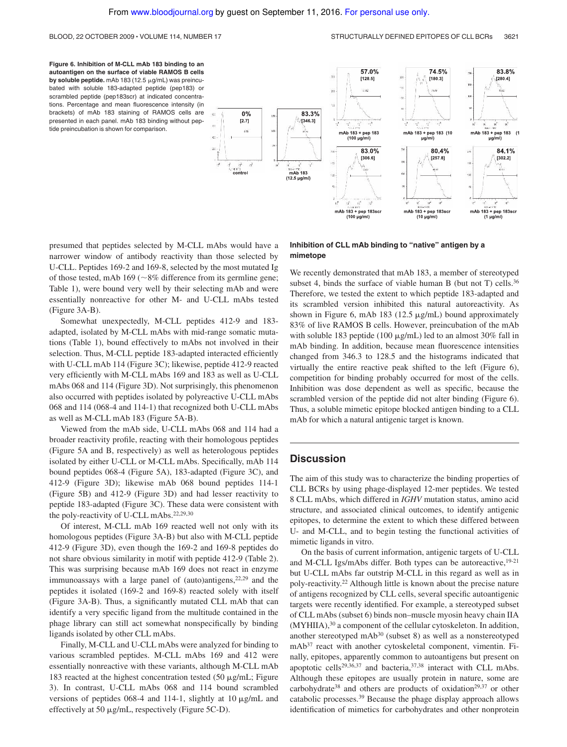#### BLOOD, 22 OCTOBER 2009 · VOLUME 114, NUMBER 17 STRUCTURALLY DEFINED EPITOPES OF CLL BCRs 3621

**Figure 6. Inhibition of M-CLL mAb 183 binding to an autoantigen on the surface of viable RAMOS B cells by soluble peptide.** mAb 183 (12.5  $\mu$ g/mL) was preincubated with soluble 183-adapted peptide (pep183) or scrambled peptide (pep183scr) at indicated concentrations. Percentage and mean fluorescence intensity (in brackets) of mAb 183 staining of RAMOS cells are presented in each panel. mAb 183 binding without peptide preincubation is shown for comparison.



presumed that peptides selected by M-CLL mAbs would have a narrower window of antibody reactivity than those selected by U-CLL. Peptides 169-2 and 169-8, selected by the most mutated Ig of those tested, mAb  $169$  ( $\sim$ 8% difference from its germline gene; Table 1), were bound very well by their selecting mAb and were essentially nonreactive for other M- and U-CLL mAbs tested (Figure 3A-B).

Somewhat unexpectedly, M-CLL peptides 412-9 and 183 adapted, isolated by M-CLL mAbs with mid-range somatic mutations (Table 1), bound effectively to mAbs not involved in their selection. Thus, M-CLL peptide 183-adapted interacted efficiently with U-CLL mAb 114 (Figure 3C); likewise, peptide 412-9 reacted very efficiently with M-CLL mAbs 169 and 183 as well as U-CLL mAbs 068 and 114 (Figure 3D). Not surprisingly, this phenomenon also occurred with peptides isolated by polyreactive U-CLL mAbs 068 and 114 (068-4 and 114-1) that recognized both U-CLL mAbs as well as M-CLL mAb 183 (Figure 5A-B).

Viewed from the mAb side, U-CLL mAbs 068 and 114 had a broader reactivity profile, reacting with their homologous peptides (Figure 5A and B, respectively) as well as heterologous peptides isolated by either U-CLL or M-CLL mAbs. Specifically, mAb 114 bound peptides 068-4 (Figure 5A), 183-adapted (Figure 3C), and 412-9 (Figure 3D); likewise mAb 068 bound peptides 114-1 (Figure 5B) and 412-9 (Figure 3D) and had lesser reactivity to peptide 183-adapted (Figure 3C). These data were consistent with the poly-reactivity of U-CLL mAbs.22,29,30

Of interest, M-CLL mAb 169 reacted well not only with its homologous peptides (Figure 3A-B) but also with M-CLL peptide 412-9 (Figure 3D), even though the 169-2 and 169-8 peptides do not share obvious similarity in motif with peptide 412-9 (Table 2). This was surprising because mAb 169 does not react in enzyme immunoassays with a large panel of (auto)antigens, $22,29$  and the peptides it isolated (169-2 and 169-8) reacted solely with itself (Figure 3A-B). Thus, a significantly mutated CLL mAb that can identify a very specific ligand from the multitude contained in the phage library can still act somewhat nonspecifically by binding ligands isolated by other CLL mAbs.

Finally, M-CLL and U-CLL mAbs were analyzed for binding to various scrambled peptides. M-CLL mAbs 169 and 412 were essentially nonreactive with these variants, although M-CLL mAb 183 reacted at the highest concentration tested  $(50 \mu g/mL)$ ; Figure 3). In contrast, U-CLL mAbs 068 and 114 bound scrambled versions of peptides 068-4 and 114-1, slightly at 10  $\mu$ g/mL and effectively at 50  $\mu$ g/mL, respectively (Figure 5C-D).

## **Inhibition of CLL mAb binding to "native" antigen by a mimetope**

We recently demonstrated that mAb 183, a member of stereotyped subset 4, binds the surface of viable human B (but not T) cells.<sup>36</sup> Therefore, we tested the extent to which peptide 183-adapted and its scrambled version inhibited this natural autoreactivity. As shown in Figure 6, mAb 183 (12.5  $\mu$ g/mL) bound approximately 83% of live RAMOS B cells. However, preincubation of the mAb with soluble 183 peptide (100  $\mu$ g/mL) led to an almost 30% fall in mAb binding. In addition, because mean fluorescence intensities changed from 346.3 to 128.5 and the histograms indicated that virtually the entire reactive peak shifted to the left (Figure 6), competition for binding probably occurred for most of the cells. Inhibition was dose dependent as well as specific, because the scrambled version of the peptide did not alter binding (Figure 6). Thus, a soluble mimetic epitope blocked antigen binding to a CLL mAb for which a natural antigenic target is known.

## **Discussion**

The aim of this study was to characterize the binding properties of CLL BCRs by using phage-displayed 12-mer peptides. We tested 8 CLL mAbs, which differed in *IGHV* mutation status, amino acid structure, and associated clinical outcomes, to identify antigenic epitopes, to determine the extent to which these differed between U- and M-CLL, and to begin testing the functional activities of mimetic ligands in vitro.

On the basis of current information, antigenic targets of U-CLL and M-CLL Igs/mAbs differ. Both types can be autoreactive,  $19-21$ but U-CLL mAbs far outstrip M-CLL in this regard as well as in poly-reactivity.<sup>22</sup> Although little is known about the precise nature of antigens recognized by CLL cells, several specific autoantigenic targets were recently identified. For example, a stereotyped subset of CLL mAbs (subset 6) binds non–muscle myosin heavy chain IIA (MYHIIA),<sup>30</sup> a component of the cellular cytoskeleton. In addition, another stereotyped mAb<sup>30</sup> (subset 8) as well as a nonstereotyped mAb<sup>37</sup> react with another cytoskeletal component, vimentin. Finally, epitopes, apparently common to autoantigens but present on apoptotic cells<sup>29,36,37</sup> and bacteria,<sup>37,38</sup> interact with CLL mAbs. Although these epitopes are usually protein in nature, some are carbohydrate<sup>38</sup> and others are products of oxidation<sup>29,37</sup> or other catabolic processes.<sup>39</sup> Because the phage display approach allows identification of mimetics for carbohydrates and other nonprotein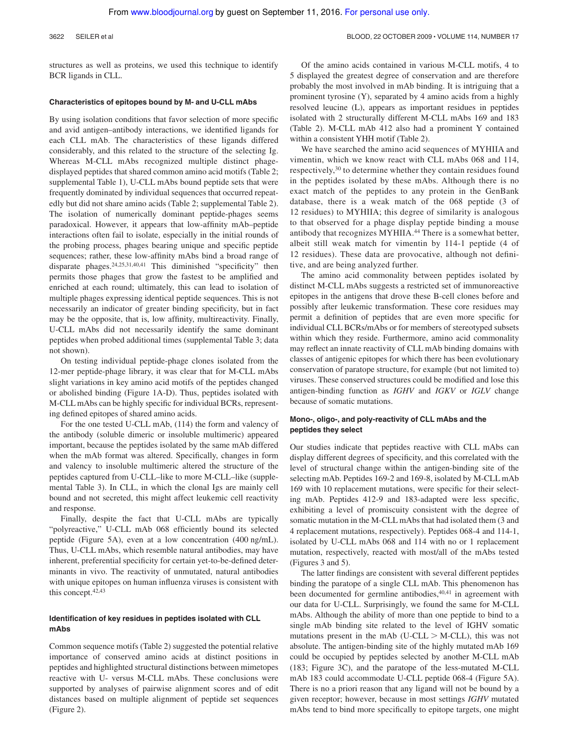#### 3622 SEILER et al BLOOD, 22 OCTOBER 2009 • VOLUME 114, NUMBER 17

structures as well as proteins, we used this technique to identify BCR ligands in CLL.

### **Characteristics of epitopes bound by M- and U-CLL mAbs**

By using isolation conditions that favor selection of more specific and avid antigen–antibody interactions, we identified ligands for each CLL mAb. The characteristics of these ligands differed considerably, and this related to the structure of the selecting Ig. Whereas M-CLL mAbs recognized multiple distinct phagedisplayed peptides that shared common amino acid motifs (Table 2; supplemental Table 1), U-CLL mAbs bound peptide sets that were frequently dominated by individual sequences that occurred repeatedly but did not share amino acids (Table 2; supplemental Table 2). The isolation of numerically dominant peptide-phages seems paradoxical. However, it appears that low-affinity mAb–peptide interactions often fail to isolate, especially in the initial rounds of the probing process, phages bearing unique and specific peptide sequences; rather, these low-affinity mAbs bind a broad range of disparate phages.24,25,31,40,41 This diminished "specificity" then permits those phages that grow the fastest to be amplified and enriched at each round; ultimately, this can lead to isolation of multiple phages expressing identical peptide sequences. This is not necessarily an indicator of greater binding specificity, but in fact may be the opposite, that is, low affinity, multireactivity. Finally, U-CLL mAbs did not necessarily identify the same dominant peptides when probed additional times (supplemental Table 3; data not shown).

On testing individual peptide-phage clones isolated from the 12-mer peptide-phage library, it was clear that for M-CLL mAbs slight variations in key amino acid motifs of the peptides changed or abolished binding (Figure 1A-D). Thus, peptides isolated with M-CLL mAbs can be highly specific for individual BCRs, representing defined epitopes of shared amino acids.

For the one tested U-CLL mAb, (114) the form and valency of the antibody (soluble dimeric or insoluble multimeric) appeared important, because the peptides isolated by the same mAb differed when the mAb format was altered. Specifically, changes in form and valency to insoluble multimeric altered the structure of the peptides captured from U-CLL–like to more M-CLL–like (supplemental Table 3). In CLL, in which the clonal Igs are mainly cell bound and not secreted, this might affect leukemic cell reactivity and response.

Finally, despite the fact that U-CLL mAbs are typically "polyreactive," U-CLL mAb 068 efficiently bound its selected peptide (Figure 5A), even at a low concentration (400 ng/mL). Thus, U-CLL mAbs, which resemble natural antibodies, may have inherent, preferential specificity for certain yet-to-be-defined determinants in vivo. The reactivity of unmutated, natural antibodies with unique epitopes on human influenza viruses is consistent with this concept.42,43

## **Identification of key residues in peptides isolated with CLL mAbs**

Common sequence motifs (Table 2) suggested the potential relative importance of conserved amino acids at distinct positions in peptides and highlighted structural distinctions between mimetopes reactive with U- versus M-CLL mAbs. These conclusions were supported by analyses of pairwise alignment scores and of edit distances based on multiple alignment of peptide set sequences (Figure 2).

Of the amino acids contained in various M-CLL motifs, 4 to 5 displayed the greatest degree of conservation and are therefore probably the most involved in mAb binding. It is intriguing that a prominent tyrosine (Y), separated by 4 amino acids from a highly resolved leucine (L), appears as important residues in peptides isolated with 2 structurally different M-CLL mAbs 169 and 183 (Table 2). M-CLL mAb 412 also had a prominent Y contained within a consistent YHH motif (Table 2).

We have searched the amino acid sequences of MYHIIA and vimentin, which we know react with CLL mAbs 068 and 114, respectively,<sup>30</sup> to determine whether they contain residues found in the peptides isolated by these mAbs. Although there is no exact match of the peptides to any protein in the GenBank database, there is a weak match of the 068 peptide (3 of 12 residues) to MYHIIA; this degree of similarity is analogous to that observed for a phage display peptide binding a mouse antibody that recognizes MYHIIA.<sup>44</sup> There is a somewhat better, albeit still weak match for vimentin by 114-1 peptide (4 of 12 residues). These data are provocative, although not definitive, and are being analyzed further.

The amino acid commonality between peptides isolated by distinct M-CLL mAbs suggests a restricted set of immunoreactive epitopes in the antigens that drove these B-cell clones before and possibly after leukemic transformation. These core residues may permit a definition of peptides that are even more specific for individual CLL BCRs/mAbs or for members of stereotyped subsets within which they reside. Furthermore, amino acid commonality may reflect an innate reactivity of CLL mAb binding domains with classes of antigenic epitopes for which there has been evolutionary conservation of paratope structure, for example (but not limited to) viruses. These conserved structures could be modified and lose this antigen-binding function as *IGHV* and *IGKV* or *IGLV* change because of somatic mutations.

## **Mono-, oligo-, and poly-reactivity of CLL mAbs and the peptides they select**

Our studies indicate that peptides reactive with CLL mAbs can display different degrees of specificity, and this correlated with the level of structural change within the antigen-binding site of the selecting mAb. Peptides 169-2 and 169-8, isolated by M-CLL mAb 169 with 10 replacement mutations, were specific for their selecting mAb. Peptides 412-9 and 183-adapted were less specific, exhibiting a level of promiscuity consistent with the degree of somatic mutation in the M-CLL mAbs that had isolated them (3 and 4 replacement mutations, respectively). Peptides 068-4 and 114-1, isolated by U-CLL mAbs 068 and 114 with no or 1 replacement mutation, respectively, reacted with most/all of the mAbs tested (Figures 3 and 5).

The latter findings are consistent with several different peptides binding the paratope of a single CLL mAb. This phenomenon has been documented for germline antibodies,<sup>40,41</sup> in agreement with our data for U-CLL. Surprisingly, we found the same for M-CLL mAbs. Although the ability of more than one peptide to bind to a single mAb binding site related to the level of IGHV somatic mutations present in the mAb (U-CLL  $>$  M-CLL), this was not absolute. The antigen-binding site of the highly mutated mAb 169 could be occupied by peptides selected by another M-CLL mAb (183; Figure 3C), and the paratope of the less-mutated M-CLL mAb 183 could accommodate U-CLL peptide 068-4 (Figure 5A). There is no a priori reason that any ligand will not be bound by a given receptor; however, because in most settings *IGHV* mutated mAbs tend to bind more specifically to epitope targets, one might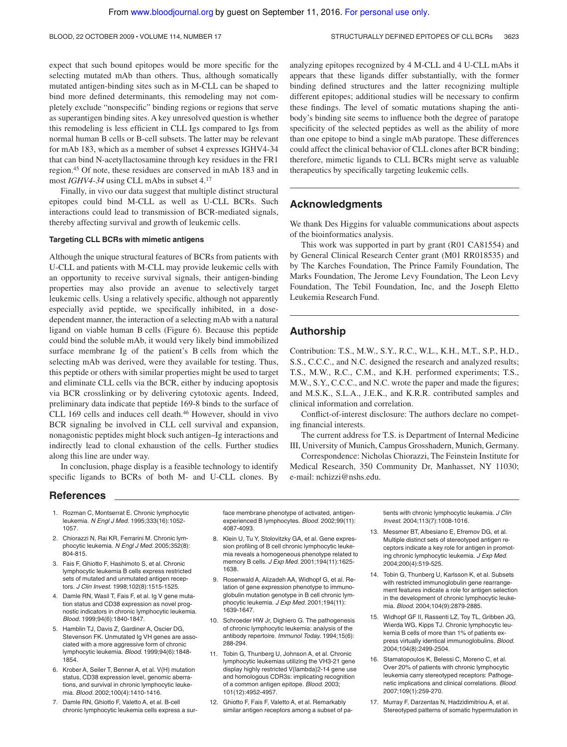expect that such bound epitopes would be more specific for the selecting mutated mAb than others. Thus, although somatically mutated antigen-binding sites such as in M-CLL can be shaped to bind more defined determinants, this remodeling may not completely exclude "nonspecific" binding regions or regions that serve as superantigen binding sites. A key unresolved question is whether this remodeling is less efficient in CLL Igs compared to Igs from normal human B cells or B-cell subsets. The latter may be relevant for mAb 183, which as a member of subset 4 expresses IGHV4-34 that can bind N-acetyllactosamine through key residues in the FR1 region.<sup>45</sup> Of note, these residues are conserved in mAb 183 and in most *IGHV4-34* using CLL mAbs in subset 4.<sup>17</sup>

Finally, in vivo our data suggest that multiple distinct structural epitopes could bind M-CLL as well as U-CLL BCRs. Such interactions could lead to transmission of BCR-mediated signals, thereby affecting survival and growth of leukemic cells.

## **Targeting CLL BCRs with mimetic antigens**

Although the unique structural features of BCRs from patients with U-CLL and patients with M-CLL may provide leukemic cells with an opportunity to receive survival signals, their antigen-binding properties may also provide an avenue to selectively target leukemic cells. Using a relatively specific, although not apparently especially avid peptide, we specifically inhibited, in a dosedependent manner, the interaction of a selecting mAb with a natural ligand on viable human B cells (Figure 6). Because this peptide could bind the soluble mAb, it would very likely bind immobilized surface membrane Ig of the patient's B cells from which the selecting mAb was derived, were they available for testing. Thus, this peptide or others with similar properties might be used to target and eliminate CLL cells via the BCR, either by inducing apoptosis via BCR crosslinking or by delivering cytotoxic agents. Indeed, preliminary data indicate that peptide 169-8 binds to the surface of CLL 169 cells and induces cell death.<sup>46</sup> However, should in vivo BCR signaling be involved in CLL cell survival and expansion, nonagonistic peptides might block such antigen–Ig interactions and indirectly lead to clonal exhaustion of the cells. Further studies along this line are under way.

In conclusion, phage display is a feasible technology to identify specific ligands to BCRs of both M- and U-CLL clones. By

#### **References**

- 1. Rozman C, Montserrat E. Chronic lymphocytic leukemia. N Engl J Med. 1995;333(16):1052- 1057.
- 2. Chiorazzi N, Rai KR, Ferrarini M. Chronic lymphocytic leukemia. N Engl J Med. 2005;352(8): 804-815.
- 3. Fais F, Ghiotto F, Hashimoto S, et al. Chronic lymphocytic leukemia B cells express restricted sets of mutated and unmutated antigen receptors. J Clin Invest. 1998;102(8):1515-1525.
- 4. Damle RN, Wasil T, Fais F, et al. Ig V gene mutation status and CD38 expression as novel prognostic indicators in chronic lymphocytic leukemia. Blood. 1999;94(6):1840-1847.
- 5. Hamblin TJ, Davis Z, Gardiner A, Oscier DG, Stevenson FK. Unmutated Ig VH genes are associated with a more aggressive form of chronic lymphocytic leukemia. Blood. 1999;94(6):1848- 1854.
- 6. Krober A, Seiler T, Benner A, et al. V(H) mutation status, CD38 expression level, genomic aberrations, and survival in chronic lymphocytic leukemia. Blood. 2002;100(4):1410-1416.
- 7. Damle RN, Ghiotto F, Valetto A, et al. B-cell chronic lymphocytic leukemia cells express a sur-

binding defined structures and the latter recognizing multiple different epitopes; additional studies will be necessary to confirm these findings. The level of somatic mutations shaping the antibody's binding site seems to influence both the degree of paratope specificity of the selected peptides as well as the ability of more than one epitope to bind a single mAb paratope. These differences could affect the clinical behavior of CLL clones after BCR binding; therefore, mimetic ligands to CLL BCRs might serve as valuable therapeutics by specifically targeting leukemic cells.

analyzing epitopes recognized by 4 M-CLL and 4 U-CLL mAbs it appears that these ligands differ substantially, with the former

## **Acknowledgments**

We thank Des Higgins for valuable communications about aspects of the bioinformatics analysis.

This work was supported in part by grant (R01 CA81554) and by General Clinical Research Center grant (M01 RR018535) and by The Karches Foundation, The Prince Family Foundation, The Marks Foundation, The Jerome Levy Foundation, The Leon Levy Foundation, The Tebil Foundation, Inc, and the Joseph Eletto Leukemia Research Fund.

## **Authorship**

Contribution: T.S., M.W., S.Y., R.C., W.L., K.H., M.T., S.P., H.D., S.S., C.C.C., and N.C. designed the research and analyzed results; T.S., M.W., R.C., C.M., and K.H. performed experiments; T.S., M.W., S.Y., C.C.C., and N.C. wrote the paper and made the figures; and M.S.K., S.L.A., J.E.K., and K.R.R. contributed samples and clinical information and correlation.

Conflict-of-interest disclosure: The authors declare no competing financial interests.

The current address for T.S. is Department of Internal Medicine III, University of Munich, Campus Grosshadern, Munich, Germany.

Correspondence: Nicholas Chiorazzi, The Feinstein Institute for Medical Research, 350 Community Dr, Manhasset, NY 11030; e-mail: nchizzi@nshs.edu.

face membrane phenotype of activated, antigenexperienced B lymphocytes. Blood. 2002;99(11): 4087-4093.

- 8. Klein U, Tu Y, Stolovitzky GA, et al. Gene expression profiling of B cell chronic lymphocytic leukemia reveals a homogeneous phenotype related to memory B cells. J Exp Med. 2001;194(11):1625- 1638.
- 9. Rosenwald A, Alizadeh AA, Widhopf G, et al. Relation of gene expression phenotype to immunoglobulin mutation genotype in B cell chronic lymphocytic leukemia. J Exp Med. 2001;194(11): 1639-1647.
- 10. Schroeder HW Jr, Dighiero G. The pathogenesis of chronic lymphocytic leukemia: analysis of the antibody repertoire. Immunol Today. 1994;15(6): 288-294.
- 11. Tobin G, Thunberg U, Johnson A, et al. Chronic lymphocytic leukemias utilizing the VH3-21 gene display highly restricted V{lambda}2-14 gene use and homologous CDR3s: implicating recognition of a common antigen epitope. Blood. 2003; 101(12):4952-4957.
- 12. Ghiotto F, Fais F, Valetto A, et al. Remarkably similar antigen receptors among a subset of pa-

tients with chronic lymphocytic leukemia. J Clin Invest. 2004;113(7):1008-1016.

- 13. Messmer BT, Albesiano E, Efremov DG, et al. Multiple distinct sets of stereotyped antigen receptors indicate a key role for antigen in promoting chronic lymphocytic leukemia. J Exp Med. 2004;200(4):519-525.
- 14. Tobin G, Thunberg U, Karlsson K, et al. Subsets with restricted immunoglobulin gene rearrangement features indicate a role for antigen selection in the development of chronic lymphocytic leukemia. Blood. 2004;104(9):2879-2885.
- 15. Widhopf GF II, Rassenti LZ, Toy TL, Gribben JG, Wierda WG, Kipps TJ. Chronic lymphocytic leukemia B cells of more than 1% of patients express virtually identical immunoglobulins. Blood. 2004;104(8):2499-2504.
- 16. Stamatopoulos K, Belessi C, Moreno C, et al. Over 20% of patients with chronic lymphocytic leukemia carry stereotyped receptors: Pathogenetic implications and clinical correlations. Blood. 2007;109(1):259-270.
- 17. Murray F, Darzentas N, Hadzidimitriou A, et al. Stereotyped patterns of somatic hypermutation in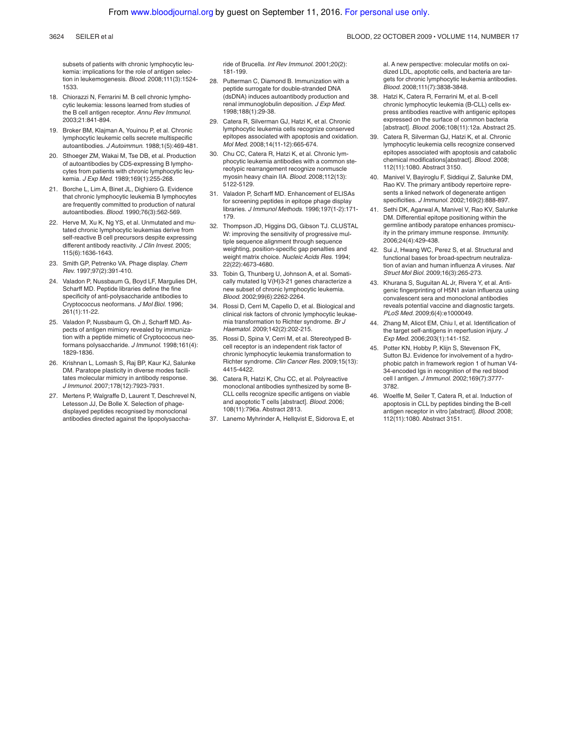subsets of patients with chronic lymphocytic leukemia: implications for the role of antigen selection in leukemogenesis. Blood. 2008;111(3):1524- 1533.

- 18. Chiorazzi N, Ferrarini M. B cell chronic lymphocytic leukemia: lessons learned from studies of the B cell antigen receptor. Annu Rev Immunol. 2003;21:841-894.
- 19. Broker BM, Klajman A, Youinou P, et al. Chronic lymphocytic leukemic cells secrete multispecific autoantibodies. J Autoimmun. 1988;1(5):469-481.
- 20. Sthoeger ZM, Wakai M, Tse DB, et al. Production of autoantibodies by CD5-expressing B lymphocytes from patients with chronic lymphocytic leukemia. J Exp Med. 1989;169(1):255-268.
- 21. Borche L, Lim A, Binet JL, Dighiero G. Evidence that chronic lymphocytic leukemia B lymphocytes are frequently committed to production of natural autoantibodies. Blood. 1990;76(3):562-569.
- 22. Herve M, Xu K, Ng YS, et al. Unmutated and mutated chronic lymphocytic leukemias derive from self-reactive B cell precursors despite expressing different antibody reactivity. J Clin Invest. 2005; 115(6):1636-1643.
- 23. Smith GP, Petrenko VA. Phage display. Chem Rev. 1997;97(2):391-410.
- 24. Valadon P, Nussbaum G, Boyd LF, Margulies DH, Scharff MD. Peptide libraries define the fine specificity of anti-polysaccharide antibodies to Cryptococcus neoformans. J Mol Biol. 1996; 261(1):11-22.
- 25. Valadon P, Nussbaum G, Oh J, Scharff MD. Aspects of antigen mimicry revealed by immunization with a peptide mimetic of Cryptococcus neoformans polysaccharide. J Immunol. 1998;161(4): 1829-1836.
- 26. Krishnan L, Lomash S, Raj BP, Kaur KJ, Salunke DM. Paratope plasticity in diverse modes facilitates molecular mimicry in antibody response. J Immunol. 2007;178(12):7923-7931.
- 27. Mertens P, Walgraffe D, Laurent T, Deschrevel N, Letesson JJ, De Bolle X. Selection of phagedisplayed peptides recognised by monoclonal antibodies directed against the lipopolysaccha-

ride of Brucella. Int Rev Immunol. 2001;20(2): 181-199.

- 28. Putterman C, Diamond B. Immunization with a peptide surrogate for double-stranded DNA (dsDNA) induces autoantibody production and renal immunoglobulin deposition. J Exp Med. 1998;188(1):29-38.
- 29. Catera R, Silverman GJ, Hatzi K, et al. Chronic lymphocytic leukemia cells recognize conserved epitopes associated with apoptosis and oxidation. Mol Med. 2008;14(11-12):665-674.
- Chu CC, Catera R, Hatzi K, et al. Chronic lymphocytic leukemia antibodies with a common stereotypic rearrangement recognize nonmuscle myosin heavy chain IIA. Blood. 2008;112(13): 5122-5129.
- 31. Valadon P, Scharff MD. Enhancement of ELISAs for screening peptides in epitope phage display libraries. J Immunol Methods. 1996;197(1-2):171- 179.
- 32. Thompson JD, Higgins DG, Gibson TJ. CLUSTAL W: improving the sensitivity of progressive multiple sequence alignment through sequence weighting, position-specific gap penalties and weight matrix choice. Nucleic Acids Res. 1994; 22(22):4673-4680.
- 33. Tobin G, Thunberg U, Johnson A, et al. Somatically mutated Ig V(H)3-21 genes characterize a new subset of chronic lymphocytic leukemia. Blood. 2002;99(6):2262-2264.
- 34. Rossi D, Cerri M, Capello D, et al. Biological and clinical risk factors of chronic lymphocytic leukaemia transformation to Richter syndrome. Br J Haematol. 2009;142(2):202-215.
- 35. Rossi D, Spina V, Cerri M, et al. Stereotyped Bcell receptor is an independent risk factor of chronic lymphocytic leukemia transformation to Richter syndrome. Clin Cancer Res. 2009;15(13): 4415-4422.
- 36. Catera R, Hatzi K, Chu CC, et al. Polyreactive monoclonal antibodies synthesized by some B-CLL cells recognize specific antigens on viable and apoptotic T cells [abstract]. Blood. 2006; 108(11):796a. Abstract 2813.
- 37. Lanemo Myhrinder A, Hellqvist E, Sidorova E, et

al. A new perspective: molecular motifs on oxidized LDL, apoptotic cells, and bacteria are targets for chronic lymphocytic leukemia antibodies. Blood. 2008;111(7):3838-3848.

- 38. Hatzi K, Catera R, Ferrarini M, et al. B-cell chronic lymphocytic leukemia (B-CLL) cells express antibodies reactive with antigenic epitopes expressed on the surface of common bacteria [abstract]. Blood. 2006;108(11):12a. Abstract 25.
- 39. Catera R, Silverman GJ, Hatzi K, et al. Chronic lymphocytic leukemia cells recognize conserved epitopes associated with apoptosis and catabolic chemical modifications[abstract]. Blood. 2008; 112(11):1080. Abstract 3150.
- 40. Manivel V, Bayiroglu F, Siddiqui Z, Salunke DM, Rao KV. The primary antibody repertoire represents a linked network of degenerate antigen specificities. J Immunol. 2002;169(2):888-897.
- 41. Sethi DK, Agarwal A, Manivel V, Rao KV, Salunke DM. Differential epitope positioning within the germline antibody paratope enhances promiscuity in the primary immune response. Immunity. 2006;24(4):429-438.
- 42. Sui J, Hwang WC, Perez S, et al. Structural and functional bases for broad-spectrum neutralization of avian and human influenza A viruses. Nat Struct Mol Biol. 2009;16(3):265-273.
- 43. Khurana S, Suguitan AL Jr, Rivera Y, et al. Antigenic fingerprinting of H5N1 avian influenza using convalescent sera and monoclonal antibodies reveals potential vaccine and diagnostic targets. PLoS Med. 2009;6(4):e1000049.
- 44. Zhang M, Alicot EM, Chiu I, et al. Identification of the target self-antigens in reperfusion injury. J Exp Med. 2006;203(1):141-152.
- 45. Potter KN, Hobby P, Klijn S, Stevenson FK, Sutton BJ. Evidence for involvement of a hydrophobic patch in framework region 1 of human V4- 34-encoded Igs in recognition of the red blood cell I antigen. J Immunol. 2002;169(7):3777- 3782.
- 46. Woelfle M, Seiler T, Catera R, et al. Induction of apoptosis in CLL by peptides binding the B-cell antigen receptor in vitro [abstract]. Blood. 2008; 112(11):1080. Abstract 3151.